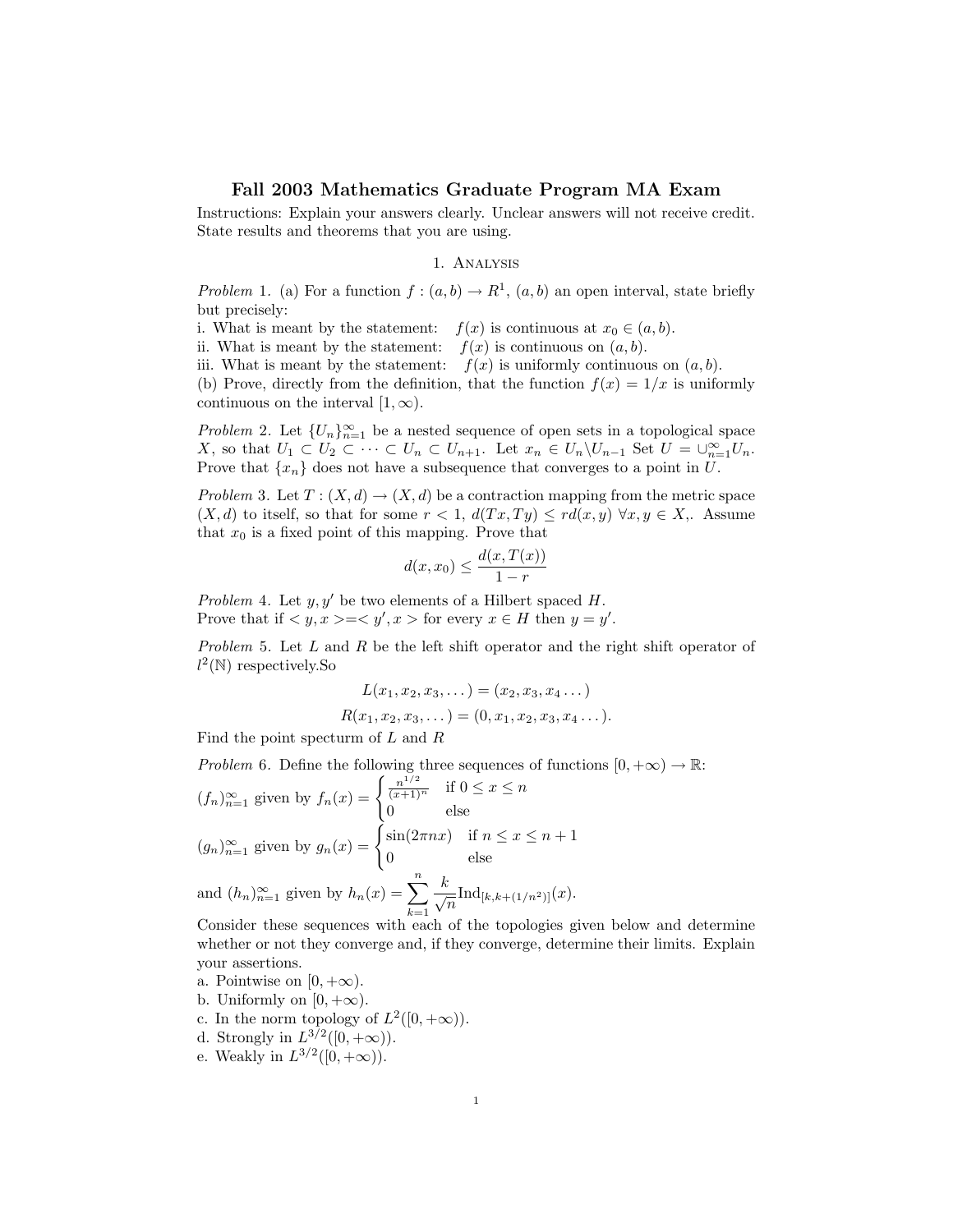## Fall 2003 Mathematics Graduate Program MA Exam

Instructions: Explain your answers clearly. Unclear answers will not receive credit. State results and theorems that you are using.

## 1. Analysis

Problem 1. (a) For a function  $f:(a,b)\to\mathbb{R}^1$ ,  $(a,b)$  an open interval, state briefly but precisely:

- i. What is meant by the statement:  $f(x)$  is continuous at  $x_0 \in (a, b)$ .
- ii. What is meant by the statement:  $f(x)$  is continuous on  $(a, b)$ .
- iii. What is meant by the statement:  $f(x)$  is uniformly continuous on  $(a, b)$ .

(b) Prove, directly from the definition, that the function  $f(x) = 1/x$  is uniformly continuous on the interval  $[1, \infty)$ .

*Problem* 2. Let  $\{U_n\}_{n=1}^{\infty}$  be a nested sequence of open sets in a topological space X, so that  $U_1 \subset U_2 \subset \cdots \subset U_n \subset U_{n+1}$ . Let  $x_n \in U_n \backslash U_{n-1}$  Set  $U = \bigcup_{n=1}^{\infty} U_n$ . Prove that  $\{x_n\}$  does not have a subsequence that converges to a point in U.

Problem 3. Let  $T : (X, d) \to (X, d)$  be a contraction mapping from the metric space  $(X, d)$  to itself, so that for some  $r < 1$ ,  $d(Tx, Ty) \leq rd(x, y) \,\forall x, y \in X$ ,. Assume that  $x_0$  is a fixed point of this mapping. Prove that

$$
d(x, x_0) \le \frac{d(x, T(x))}{1 - r}
$$

Problem 4. Let  $y, y'$  be two elements of a Hilbert spaced H. Prove that if  $\langle y, x \rangle = \langle y', x \rangle$  for every  $x \in H$  then  $y = y'$ .

Problem 5. Let L and R be the left shift operator and the right shift operator of  $l^2(\mathbb{N})$  respectively. So

$$
L(x_1, x_2, x_3, \dots) = (x_2, x_3, x_4 \dots)
$$
  

$$
R(x_1, x_2, x_3, \dots) = (0, x_1, x_2, x_3, x_4 \dots).
$$

Find the point specturm of L and R

Problem 6. Define the following three sequences of functions  $[0, +\infty) \to \mathbb{R}$ : (fn)<sup>∞</sup>

$$
(f_n)_{n=1}^{\infty} \text{ given by } f_n(x) = \begin{cases} \frac{n^{1/2}}{(x+1)^n} & \text{if } 0 \le x \le n \\ 0 & \text{else} \end{cases}
$$
\n
$$
(g_n)_{n=1}^{\infty} \text{ given by } g_n(x) = \begin{cases} \sin(2\pi nx) & \text{if } n \le x \le n+1 \\ 0 & \text{else} \end{cases}
$$
\n
$$
\text{and } (h_n)_{n=1}^{\infty} \text{ given by } h_n(x) = \sum_{k=1}^{n} \frac{k}{\sqrt{n}} \text{Ind}_{[k,k+(1/n^2)]}(x).
$$

Consider these sequences with each of the topologies given below and determine whether or not they converge and, if they converge, determine their limits. Explain your assertions.

- a. Pointwise on  $[0, +\infty)$ .
- b. Uniformly on  $[0, +\infty)$ .
- c. In the norm topology of  $L^2([0, +\infty))$ .
- d. Strongly in  $L^{3/2}([0, +\infty))$ .
- e. Weakly in  $L^{3/2}([0, +\infty))$ .